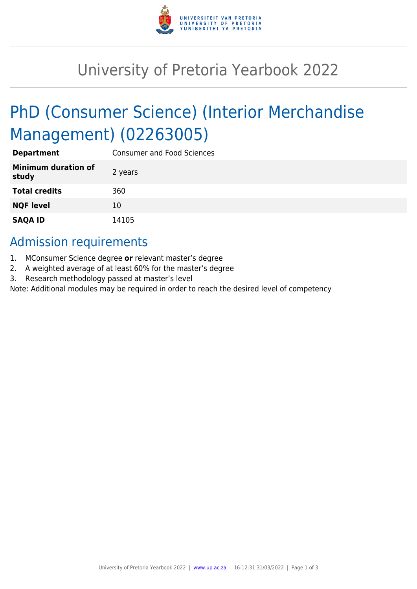

## University of Pretoria Yearbook 2022

# PhD (Consumer Science) (Interior Merchandise Management) (02263005)

| <b>Department</b>                   | <b>Consumer and Food Sciences</b> |
|-------------------------------------|-----------------------------------|
| <b>Minimum duration of</b><br>study | 2 years                           |
| <b>Total credits</b>                | 360                               |
| <b>NQF level</b>                    | 10                                |
| <b>SAQA ID</b>                      | 14105                             |

## Admission requirements

- 1. MConsumer Science degree **or** relevant master's degree
- 2. A weighted average of at least 60% for the master's degree
- 3. Research methodology passed at master's level

Note: Additional modules may be required in order to reach the desired level of competency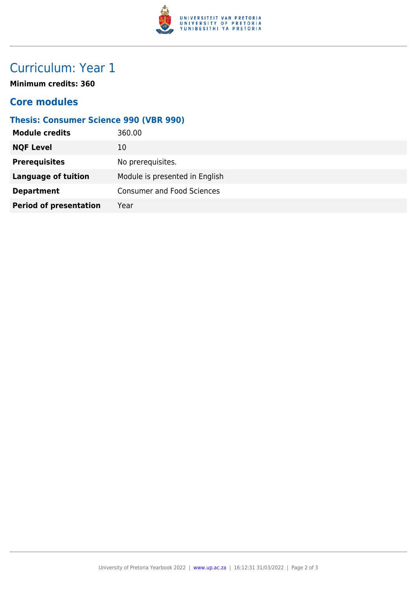

## Curriculum: Year 1

**Minimum credits: 360**

### **Core modules**

#### **Thesis: Consumer Science 990 (VBR 990)**

| <b>Module credits</b>         | 360.00                            |
|-------------------------------|-----------------------------------|
| <b>NQF Level</b>              | 10                                |
| <b>Prerequisites</b>          | No prerequisites.                 |
| <b>Language of tuition</b>    | Module is presented in English    |
| <b>Department</b>             | <b>Consumer and Food Sciences</b> |
| <b>Period of presentation</b> | Year                              |
|                               |                                   |